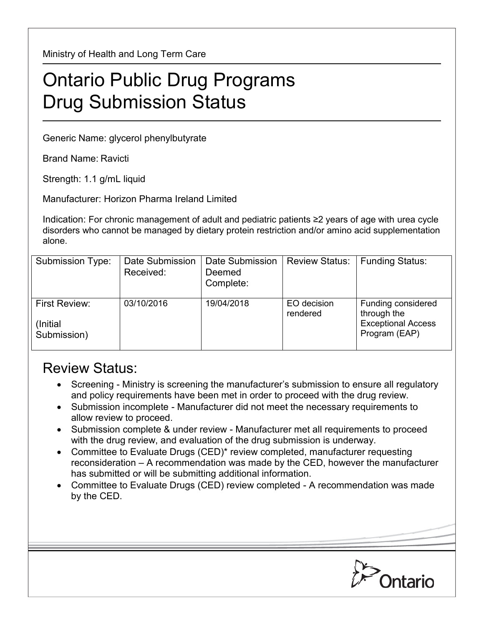Ministry of Health and Long Term Care

## Ontario Public Drug Programs Drug Submission Status

Generic Name: glycerol phenylbutyrate

Brand Name: Ravicti

Strength: 1.1 g/mL liquid

Manufacturer: Horizon Pharma Ireland Limited

Indication: For chronic management of adult and pediatric patients ≥2 years of age with urea cycle disorders who cannot be managed by dietary protein restriction and/or amino acid supplementation alone.

| Submission Type:                                 | Date Submission<br>Received: | Date Submission<br>Deemed<br>Complete: | <b>Review Status:</b>   | <b>Funding Status:</b>                                                          |
|--------------------------------------------------|------------------------------|----------------------------------------|-------------------------|---------------------------------------------------------------------------------|
| <b>First Review:</b><br>(Initial)<br>Submission) | 03/10/2016                   | 19/04/2018                             | EO decision<br>rendered | Funding considered<br>through the<br><b>Exceptional Access</b><br>Program (EAP) |

## Review Status:

- Screening Ministry is screening the manufacturer's submission to ensure all regulatory and policy requirements have been met in order to proceed with the drug review.
- Submission incomplete Manufacturer did not meet the necessary requirements to allow review to proceed.
- Submission complete & under review Manufacturer met all requirements to proceed with the drug review, and evaluation of the drug submission is underway.
- Committee to Evaluate Drugs (CED)\* review completed, manufacturer requesting reconsideration – A recommendation was made by the CED, however the manufacturer has submitted or will be submitting additional information.
- Committee to Evaluate Drugs (CED) review completed A recommendation was made by the CED.